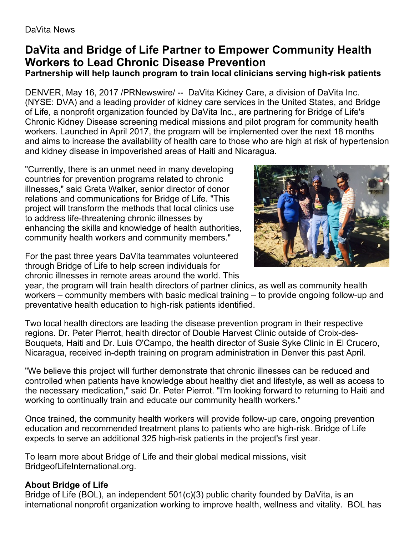## DaVita and Bridge of Life Partner to **Empower Community Health Workers to Lead Chronic Disease Prevention** Partnership will help launch program to train local clinicians serving high-risk patients

DENVER, May 16, 2017 / PRNewswire/ -- DaVita Kidney Care, a division of DaVita Inc. (NYSE: DVA) and a leading provider of kidney care services in the United States, and Bridge of Life, a nonprofit organization founded by DaVita Inc., are partnering for Bridge of Life's Chronic Kidney Disease screening medical missions and pilot program for community health workers. Launched in April 2017, the program will be implemented over the next 18 months and aims to increase the availability of health care to those who are high at risk of hypertension and kidney disease in impoverished areas of Haiti and Nicaragua.

"Currently, there is an unmet need in many developing countries for prevention programs related to chronic illnesses," said Greta Walker, senior director of donor relations and communications for Bridge of Life. "This project will transform the methods that local clinics use to address life-threatening chronic illnesses by enhancing the skills and knowledge of health authorities, community health workers and community members."

For the past three years DaVita teammates volunteered through Bridge of Life to help screen individuals for chronic illnesses in remote areas around the world. This



year, the program will train health directors of partner clinics, as well as community health workers  $-$  community members with basic medical training  $-$  to provide ongoing follow-up and preventative health education to high-risk patients identified.

Two local health directors are leading the disease prevention program in their respective regions. Dr. Peter Pierrot, health director of Double Harvest Clinic outside of Croix-des-Bouquets, Haiti and Dr. Luis O'Campo, the health director of Susie Syke Clinic in El Crucero, Nicaragua, received in-depth training on program administration in Denver this past April.

"We believe this project will further demonstrate that chronic illnesses can be reduced and controlled when patients have knowledge about healthy diet and lifestyle, as well as access to the necessary medication," said Dr. Peter Pierrot. "I'm looking forward to returning to Haiti and working to continually train and educate our community health workers."

Once trained, the community health workers will provide follow-up care, ongoing prevention education and recommended treatment plans to patients who are high-risk. Bridge of Life expects to serve an additional 325 high-risk patients in the project's first year.

To learn more about Bridge of Life and their global medical missions, visit BridgeofLifeInternational.org.

## About Bridge of Life

Bridge of Life (BOL), an independent 501(c)(3) public charity founded by DaVita, is an international nonprofit organization working to improve health, wellness and vitality. BOL has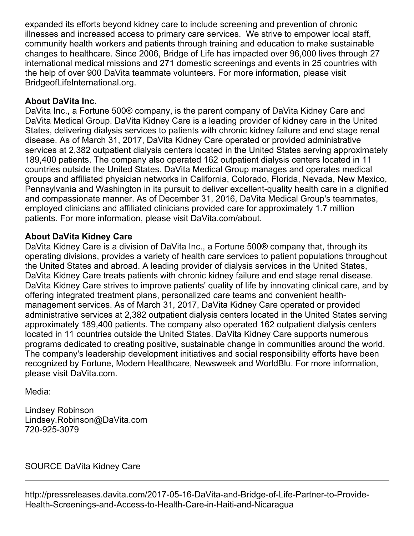expanded its efforts beyond kidney care to include screening and prevention of chronic illnesses and increased access to primary care services. We strive to empower local staff, community health workers and patients through training and education to make sustainable changes to healthcare. Since 2006, Bridge of Life has impacted over 96,000 lives through 27 international medical missions and 271 domestic screenings and events in 25 countries with the help of over 900 DaVita teammate volunteers. For more information, please visit BridgeofLifeInternational.org.

## About DaVita Inc.

DaVita Inc., a Fortune 500® company, is the parent company of DaVita Kidney Care and DaVita Medical Group. DaVita Kidney Care is a leading provider of kidney care in the United States, delivering dialysis services to patients with chronic kidney failure and end stage renal disease. As of March 31, 2017, DaVita Kidney Care operated or provided administrative services at 2,382 outpatient dialysis centers located in the United States serving approximately 189,400 patients. The company also operated 162 outpatient dialysis centers located in 11 countries outside the United States. DaVita Medical Group manages and operates medical groups and affiliated physician networks in California, Colorado, Florida, Nevada, New Mexico, Pennsylvania and Washington in its pursuit to deliver excellent-quality health care in a dignified and compassionate manner. As of December 31, 2016, DaVita Medical Group's teammates, employed clinicians and affiliated clinicians provided care for approximately 1.7 million patients. For more information, please visit DaVita.com/about.

## About DaVita Kidney Care

DaVita Kidney Care is a division of DaVita Inc., a Fortune 500® company that, through its operating divisions, provides a variety of health care services to patient populations throughout the United States and abroad. A leading provider of dialysis services in the United States, DaVita Kidney Care treats patients with chronic kidney failure and end stage renal disease. DaVita Kidney Care strives to improve patients' quality of life by innovating clinical care, and by offering integrated treatment plans, personalized care teams and convenient healthmanagement services. As of March 31, 2017, DaVita Kidney Care operated or provided administrative services at 2,382 outpatient dialysis centers located in the United States serving approximately 189,400 patients. The company also operated 162 outpatient dialysis centers located in 11 countries outside the United States. DaVita Kidney Care supports numerous programs dedicated to creating positive, sustainable change in communities around the world. The company's leadership development initiatives and social responsibility efforts have been recognized by Fortune, Modern Healthcare, Newsweek and WorldBlu. For more information, please visit DaVita.com.

Media:

Lindsey Robinson Lindsey.Robinson@DaVita.com 720-925-3079

SOURCE DaVita Kidney Care